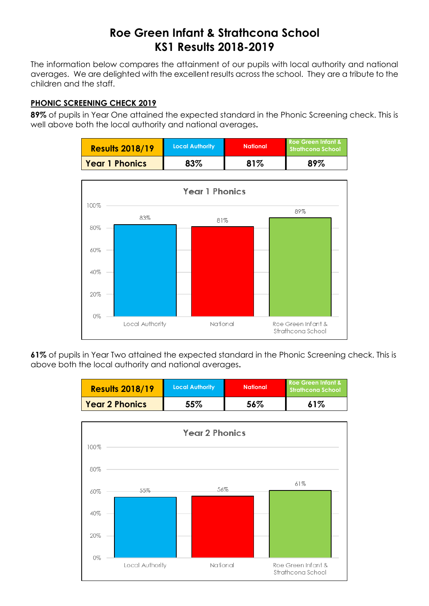## **Roe Green Infant & Strathcona School KS1 Results 2018-2019**

The information below compares the attainment of our pupils with local authority and national averages. We are delighted with the excellent results across the school. They are a tribute to the children and the staff.

## **PHONIC SCREENING CHECK 2019**

**89%** of pupils in Year One attained the expected standard in the Phonic Screening check. This is well above both the local authority and national averages**.**

| <b>Results 2018/19</b> | <b>Local Authority</b> | <b>National</b> | Roe Green Infant &<br>Strathcona School |  |
|------------------------|------------------------|-----------------|-----------------------------------------|--|
| <b>Year 1 Phonics</b>  | 83%                    | 81%             | 89%                                     |  |



**61%** of pupils in Year Two attained the expected standard in the Phonic Screening check. This is above both the local authority and national averages**.**

| <b>Results 2018/19</b> | Local Authority | <b>National</b> | Roe Green Infant &<br>Strathcong School |  |
|------------------------|-----------------|-----------------|-----------------------------------------|--|
| <b>Year 2 Phonics</b>  | 55%             |                 | 61%                                     |  |

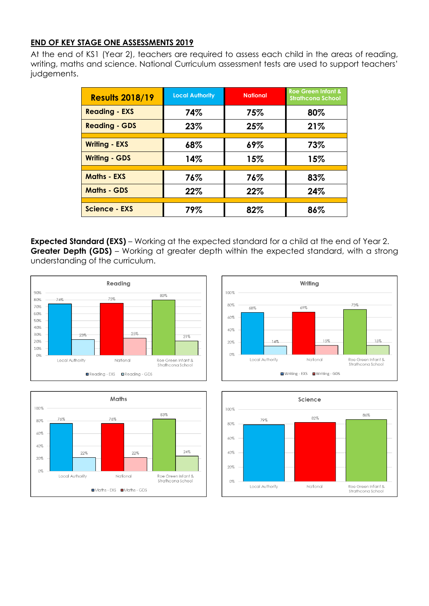## **END OF KEY STAGE ONE ASSESSMENTS 2019**

At the end of KS1 (Year 2), teachers are required to assess each child in the areas of reading, writing, maths and science. National Curriculum assessment tests are used to support teachers' judgements.

| <b>Results 2018/19</b> | <b>Local Authority</b> | <b>National</b> | <b>Roe Green Infant &amp;</b><br><b>Strathcona School</b> |  |
|------------------------|------------------------|-----------------|-----------------------------------------------------------|--|
| <b>Reading - EXS</b>   | 74%                    | 75%             | 80%                                                       |  |
| <b>Reading - GDS</b>   | 23%                    | 25%             | 21%                                                       |  |
| <b>Writing - EXS</b>   | 68%                    | 69%             | 73%                                                       |  |
| <b>Writing - GDS</b>   | 14%                    | 15%             | 15%                                                       |  |
| <b>Maths - EXS</b>     | 76%                    | 76%             | 83%                                                       |  |
| <b>Maths - GDS</b>     | 22%                    | 22%             | 24%                                                       |  |
| Science - EXS          | 79%                    | 82%             | 86%                                                       |  |

**Expected Standard (EXS)** – Working at the expected standard for a child at the end of Year 2. **Greater Depth (GDS)** – Working at greater depth within the expected standard, with a strong understanding of the curriculum.